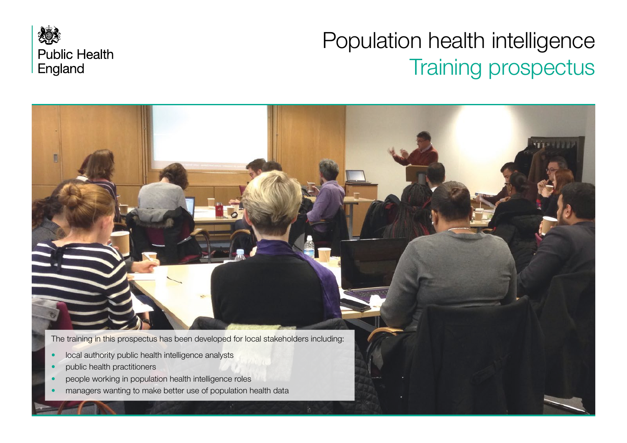

# Population health intelligence Training prospectus

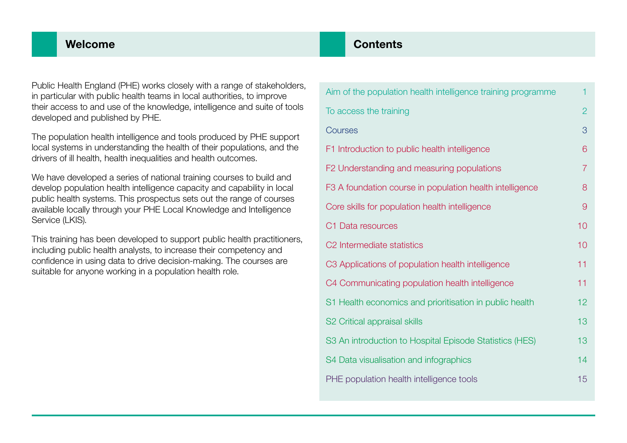### Welcome

Public Health England (PHE) works closely with a range of stakeholders, in particular with public health teams in local authorities, to improve their access to and use of the knowledge, intelligence and suite of tools developed and published by PHE.

The population health intelligence and tools produced by PHE support local systems in understanding the health of their populations, and the drivers of ill health, health inequalities and health outcomes.

We have developed a series of national training courses to build and develop population health intelligence capacity and capability in local public health systems. This prospectus sets out the range of courses available locally through your PHE Local Knowledge and Intelligence Service (LKIS).

This training has been developed to support public health practitioners, including public health analysts, to increase their competency and confidence in using data to drive decision-making. The courses are suitable for anyone working in a population health role.

### **Contents**

| Aim of the population health intelligence training programme | 1              |
|--------------------------------------------------------------|----------------|
| To access the training                                       | $\overline{2}$ |
| Courses                                                      | 3              |
| F1 Introduction to public health intelligence                | 6              |
| F2 Understanding and measuring populations                   | $\overline{7}$ |
| F3 A foundation course in population health intelligence     | 8              |
| Core skills for population health intelligence               | $\overline{9}$ |
| C1 Data resources                                            | 10             |
| C2 Intermediate statistics                                   | 10             |
| C3 Applications of population health intelligence            | 11             |
| C4 Communicating population health intelligence              | 11             |
| S1 Health economics and prioritisation in public health      | 12             |
| S2 Critical appraisal skills                                 | 13             |
| S3 An introduction to Hospital Episode Statistics (HES)      | 13             |
| S4 Data visualisation and infographics                       | 14             |
| PHE population health intelligence tools                     | 15             |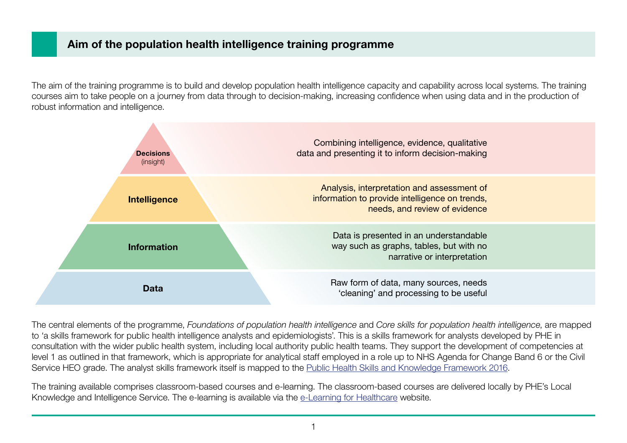### <span id="page-2-0"></span>Aim of the population health intelligence training programme

The aim of the training programme is to build and develop population health intelligence capacity and capability across local systems. The training courses aim to take people on a journey from data through to decision-making, increasing confidence when using data and in the production of robust information and intelligence.



The central elements of the programme, *Foundations of population health intelligence* and *Core skills for population health intelligence*, are mapped to 'a skills framework for public health intelligence analysts and epidemiologists'. This is a skills framework for analysts developed by PHE in consultation with the wider public health system, including local authority public health teams. They support the development of competencies at level 1 as outlined in that framework, which is appropriate for analytical staff employed in a role up to NHS Agenda for Change Band 6 or the Civil Service HEO grade. The analyst skills framework itself is mapped to the [Public Health Skills and Knowledge Framework 2016.](https://assets.publishing.service.gov.uk/government/uploads/system/uploads/attachment_data/file/584408/public_health_skills_and_knowledge_framework.pdf)

The training available comprises classroom-based courses and e-learning. The classroom-based courses are delivered locally by PHE's Local Knowledge and Intelligence Service. The e-learning is available via the [e-Learning for Healthcare](https://portal.e-lfh.org.uk/) website.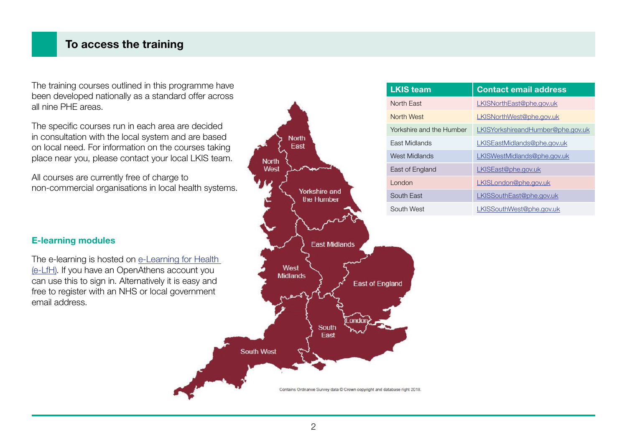### <span id="page-3-0"></span>To access the training

The training courses outlined in this programme have been developed nationally as a standard offer across all nine PHE areas.

The specific courses run in each area are decided in consultation with the local system and are based on local need. For information on the courses taking place near you, please contact your local LKIS team.

All courses are currently free of charge to non-commercial organisations in local health systems.

#### E-learning modules

The e-learning is hosted on e-Learning for Health [\(e-LfH\).](https://portal.e-lfh.org.uk/) If you have an OpenAthens account you can use this to sign in. Alternatively it is easy and free to register with an NHS or local government email address.



| <b>LKIS team</b>         | <b>Contact email address</b>      |
|--------------------------|-----------------------------------|
| North Fast               | LKISNorthEast@phe.gov.uk          |
| North West               | LKISNorthWest@phe.gov.uk          |
| Yorkshire and the Humber | LKISYorkshireandHumber@phe.gov.uk |
| Fast Midlands            | LKISEastMidlands@phe.gov.uk       |
| West Midlands            | LKISWestMidlands@phe.gov.uk       |
| East of England          | LKISEast@phe.gov.uk               |
| London                   | LKISLondon@phe.gov.uk             |
| South East               | LKISSouthEast@phe.gov.uk          |
| South West               | LKISSouthWest@phe.gov.uk          |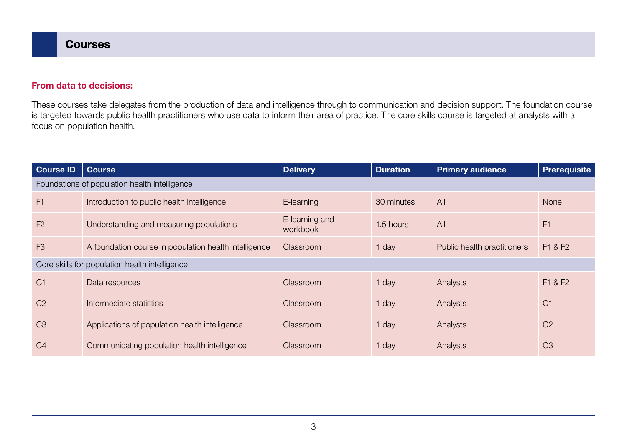#### <span id="page-4-0"></span>From data to decisions:

These courses take delegates from the production of data and intelligence through to communication and decision support. The foundation course is targeted towards public health practitioners who use data to inform their area of practice. The core skills course is targeted at analysts with a focus on population health.

| <b>Course ID</b> | <b>Course</b>                                         | <b>Delivery</b>            | <b>Duration</b> | <b>Primary audience</b>     | <b>Prerequisite</b> |
|------------------|-------------------------------------------------------|----------------------------|-----------------|-----------------------------|---------------------|
|                  | Foundations of population health intelligence         |                            |                 |                             |                     |
| F1               | Introduction to public health intelligence            | E-learning                 | 30 minutes      | A                           | <b>None</b>         |
| F <sub>2</sub>   | Understanding and measuring populations               | E-learning and<br>workbook | 1.5 hours       | A                           | F1                  |
| F <sub>3</sub>   | A foundation course in population health intelligence | Classroom                  | 1 day           | Public health practitioners | F1 & F2             |
|                  | Core skills for population health intelligence        |                            |                 |                             |                     |
| C <sub>1</sub>   | Data resources                                        | Classroom                  | 1 day           | Analysts                    | F1 & F2             |
| C <sub>2</sub>   | Intermediate statistics                               | Classroom                  | 1 day           | Analysts                    | C <sub>1</sub>      |
| C <sub>3</sub>   | Applications of population health intelligence        | Classroom                  | 1 day           | Analysts                    | C <sub>2</sub>      |
| C <sub>4</sub>   | Communicating population health intelligence          | Classroom                  | 1 day           | Analysts                    | C <sub>3</sub>      |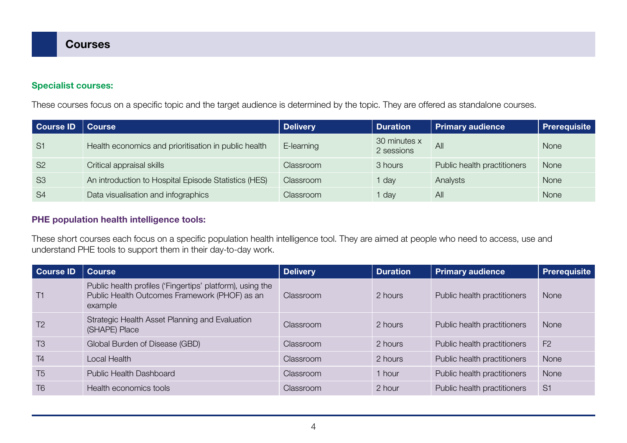#### Specialist courses:

These courses focus on a specific topic and the target audience is determined by the topic. They are offered as standalone courses.

| <b>Course ID</b> | <b>Course</b>                                        | <b>Delivery</b> | <b>Duration</b>            | <b>Primary audience</b>     | <b>Prerequisite</b> |
|------------------|------------------------------------------------------|-----------------|----------------------------|-----------------------------|---------------------|
| S <sub>1</sub>   | Health economics and prioritisation in public health | E-learning      | 30 minutes x<br>2 sessions | All                         | None                |
| <b>S2</b>        | Critical appraisal skills                            | Classroom       | 3 hours                    | Public health practitioners | <b>None</b>         |
| S <sub>3</sub>   | An introduction to Hospital Episode Statistics (HES) | Classroom       | I day                      | Analysts                    | None                |
| <b>S4</b>        | Data visualisation and infographics                  | Classroom       | day                        | All                         | None                |

#### PHE population health intelligence tools:

These short courses each focus on a specific population health intelligence tool. They are aimed at people who need to access, use and understand PHE tools to support them in their day-to-day work.

| Course ID      | <b>Course</b>                                                                                                         | <b>Delivery</b> | <b>Duration</b> | <b>Primary audience</b>     | <b>Prerequisite</b> |
|----------------|-----------------------------------------------------------------------------------------------------------------------|-----------------|-----------------|-----------------------------|---------------------|
| T1             | Public health profiles ('Fingertips' platform), using the<br>Public Health Outcomes Framework (PHOF) as an<br>example | Classroom       | 2 hours         | Public health practitioners | None                |
| T <sub>2</sub> | Strategic Health Asset Planning and Evaluation<br>(SHAPE) Place                                                       | Classroom       | 2 hours         | Public health practitioners | <b>None</b>         |
| T <sub>3</sub> | Global Burden of Disease (GBD)                                                                                        | Classroom       | 2 hours         | Public health practitioners | F <sub>2</sub>      |
| T <sub>4</sub> | Local Health                                                                                                          | Classroom       | 2 hours         | Public health practitioners | None                |
| T <sub>5</sub> | Public Health Dashboard                                                                                               | Classroom       | 1 hour          | Public health practitioners | None                |
| T <sub>6</sub> | Health economics tools                                                                                                | Classroom       | 2 hour          | Public health practitioners | S <sub>1</sub>      |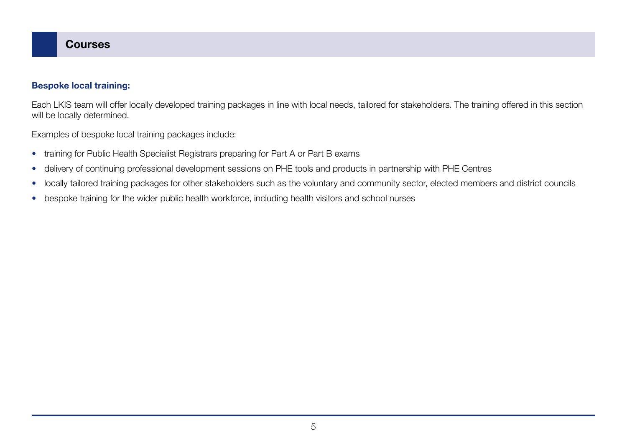#### Bespoke local training:

Each LKIS team will offer locally developed training packages in line with local needs, tailored for stakeholders. The training offered in this section will be locally determined.

Examples of bespoke local training packages include:

- training for Public Health Specialist Registrars preparing for Part A or Part B exams
- delivery of continuing professional development sessions on PHE tools and products in partnership with PHE Centres
- locally tailored training packages for other stakeholders such as the voluntary and community sector, elected members and district councils
- bespoke training for the wider public health workforce, including health visitors and school nurses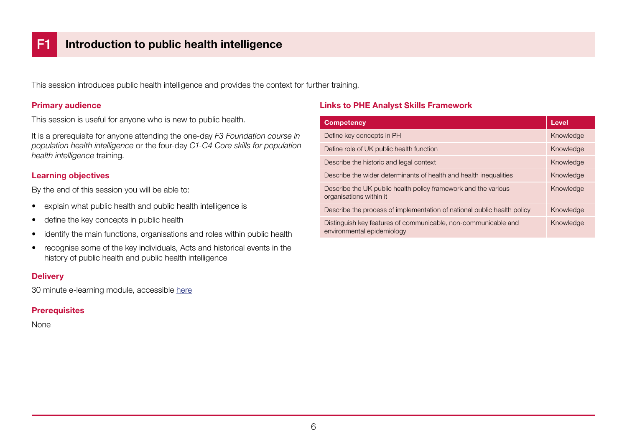<span id="page-7-0"></span>This session introduces public health intelligence and provides the context for further training.

#### Primary audience

This session is useful for anyone who is new to public health.

It is a prerequisite for anyone attending the one-day *F3 Foundation course in population health intelligence* or the four-day *C1-C4 Core skills for population health intelligence* training.

#### Learning objectives

By the end of this session you will be able to:

- explain what public health and public health intelligence is
- define the key concepts in public health
- identify the main functions, organisations and roles within public health
- recognise some of the key individuals, Acts and historical events in the history of public health and public health intelligence

#### **Delivery**

30 minute e-learning module, accessible [here](https://portal.e-lfh.org.uk/Component/Details/533891)

#### **Prerequisites**

None

| <b>Competency</b>                                                                            | <b>Level</b> |
|----------------------------------------------------------------------------------------------|--------------|
| Define key concepts in PH                                                                    | Knowledge    |
| Define role of UK public health function                                                     | Knowledge    |
| Describe the historic and legal context                                                      | Knowledge    |
| Describe the wider determinants of health and health inequalities                            | Knowledge    |
| Describe the UK public health policy framework and the various<br>organisations within it    | Knowledge    |
| Describe the process of implementation of national public health policy                      | Knowledge    |
| Distinguish key features of communicable, non-communicable and<br>environmental epidemiology | Knowledge    |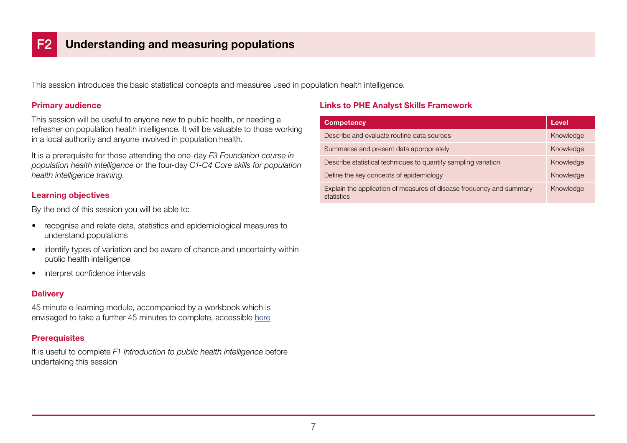<span id="page-8-0"></span>This session introduces the basic statistical concepts and measures used in population health intelligence.

#### Primary audience

This session will be useful to anyone new to public health, or needing a refresher on population health intelligence. It will be valuable to those working in a local authority and anyone involved in population health.

It is a prerequisite for those attending the one-day *F3 Foundation course in population health intelligence* or the four-day *C1-C4 Core skills for population health intelligence training*.

#### Learning objectives

By the end of this session you will be able to:

- recognise and relate data, statistics and epidemiological measures to understand populations
- identify types of variation and be aware of chance and uncertainty within public health intelligence
- interpret confidence intervals

#### **Delivery**

45 minute e-learning module, accompanied by a workbook which is envisaged to take a further 45 minutes to complete, accessible [here](https://portal.e-lfh.org.uk/Component/Details/533891)

#### **Prerequisites**

It is useful to complete *F1 Introduction to public health intelligence* before undertaking this session

| <b>Competency</b>                                                                  | Level     |
|------------------------------------------------------------------------------------|-----------|
| Describe and evaluate routine data sources                                         | Knowledge |
| Summarise and present data appropriately                                           | Knowledge |
| Describe statistical techniques to quantify sampling variation                     | Knowledge |
| Define the key concepts of epidemiology                                            | Knowledge |
| Explain the application of measures of disease frequency and summary<br>statistics | Knowledge |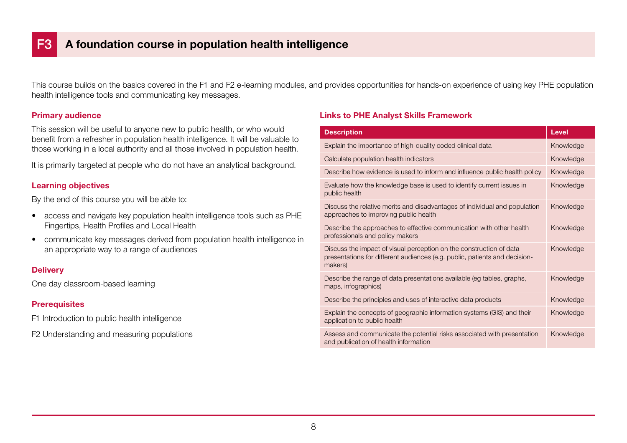<span id="page-9-0"></span>This course builds on the basics covered in the F1 and F2 e-learning modules, and provides opportunities for hands-on experience of using key PHE population health intelligence tools and communicating key messages.

#### Primary audience

This session will be useful to anyone new to public health, or who would benefit from a refresher in population health intelligence. It will be valuable to those working in a local authority and all those involved in population health.

It is primarily targeted at people who do not have an analytical background.

#### Learning objectives

By the end of this course you will be able to:

- access and navigate key population health intelligence tools such as PHE Fingertips, Health Profiles and Local Health
- communicate key messages derived from population health intelligence in an appropriate way to a range of audiences

#### **Delivery**

One day classroom-based learning

#### **Prerequisites**

F1 Introduction to public health intelligence

F2 Understanding and measuring populations

| <b>Description</b>                                                                                                                                           | <b>Level</b> |
|--------------------------------------------------------------------------------------------------------------------------------------------------------------|--------------|
| Explain the importance of high-quality coded clinical data                                                                                                   | Knowledge    |
| Calculate population health indicators                                                                                                                       | Knowledge    |
| Describe how evidence is used to inform and influence public health policy                                                                                   | Knowledge    |
| Evaluate how the knowledge base is used to identify current issues in<br>public health                                                                       | Knowledge    |
| Discuss the relative merits and disadvantages of individual and population<br>approaches to improving public health                                          | Knowledge    |
| Describe the approaches to effective communication with other health<br>professionals and policy makers                                                      | Knowledge    |
| Discuss the impact of visual perception on the construction of data<br>presentations for different audiences (e.g. public, patients and decision-<br>makers) | Knowledge    |
| Describe the range of data presentations available (eg tables, graphs,<br>maps, infographics)                                                                | Knowledge    |
| Describe the principles and uses of interactive data products                                                                                                | Knowledge    |
| Explain the concepts of geographic information systems (GIS) and their<br>application to public health                                                       | Knowledge    |
| Assess and communicate the potential risks associated with presentation<br>and publication of health information                                             | Knowledge    |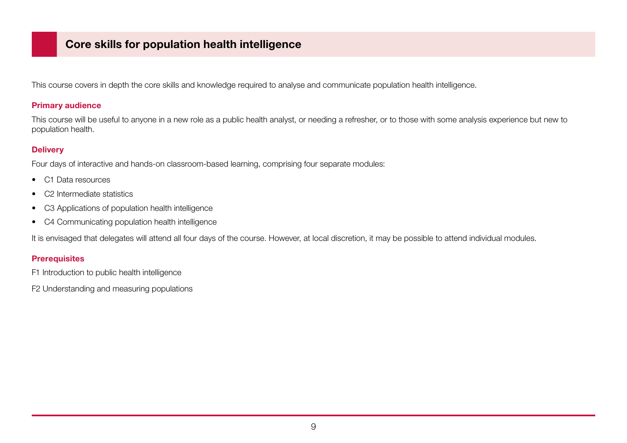### <span id="page-10-0"></span>Core skills for population health intelligence

This course covers in depth the core skills and knowledge required to analyse and communicate population health intelligence.

#### Primary audience

This course will be useful to anyone in a new role as a public health analyst, or needing a refresher, or to those with some analysis experience but new to population health.

#### **Delivery**

Four days of interactive and hands-on classroom-based learning, comprising four separate modules:

- C1 Data resources
- C2 Intermediate statistics
- C3 Applications of population health intelligence
- C4 Communicating population health intelligence

It is envisaged that delegates will attend all four days of the course. However, at local discretion, it may be possible to attend individual modules.

#### **Prerequisites**

F1 Introduction to public health intelligence

F2 Understanding and measuring populations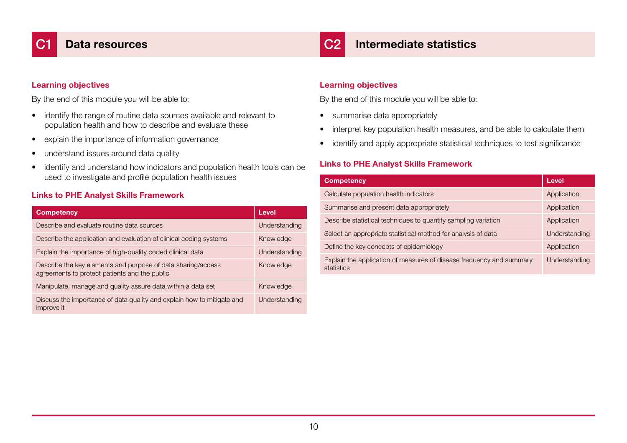### C2 Intermediate statistics

#### <span id="page-11-0"></span>Learning objectives

By the end of this module you will be able to:

- identify the range of routine data sources available and relevant to population health and how to describe and evaluate these
- explain the importance of information governance
- understand issues around data quality
- identify and understand how indicators and population health tools can be used to investigate and profile population health issues

#### Links to PHE Analyst Skills Framework

| <b>Competency</b>                                                                                             | <b>Level</b>  |
|---------------------------------------------------------------------------------------------------------------|---------------|
| Describe and evaluate routine data sources                                                                    | Understanding |
| Describe the application and evaluation of clinical coding systems                                            | Knowledge     |
| Explain the importance of high-quality coded clinical data                                                    | Understanding |
| Describe the key elements and purpose of data sharing/access<br>agreements to protect patients and the public | Knowledge     |
| Manipulate, manage and quality assure data within a data set                                                  | Knowledge     |
| Discuss the importance of data quality and explain how to mitigate and<br>improve it                          | Understanding |

#### Learning objectives

By the end of this module you will be able to:

- summarise data appropriately
- interpret key population health measures, and be able to calculate them
- identify and apply appropriate statistical techniques to test significance

| <b>Competency</b>                                                                  | Level         |
|------------------------------------------------------------------------------------|---------------|
| Calculate population health indicators                                             | Application   |
| Summarise and present data appropriately                                           | Application   |
| Describe statistical techniques to quantify sampling variation                     | Application   |
| Select an appropriate statistical method for analysis of data                      | Understanding |
| Define the key concepts of epidemiology                                            | Application   |
| Explain the application of measures of disease frequency and summary<br>statistics | Understanding |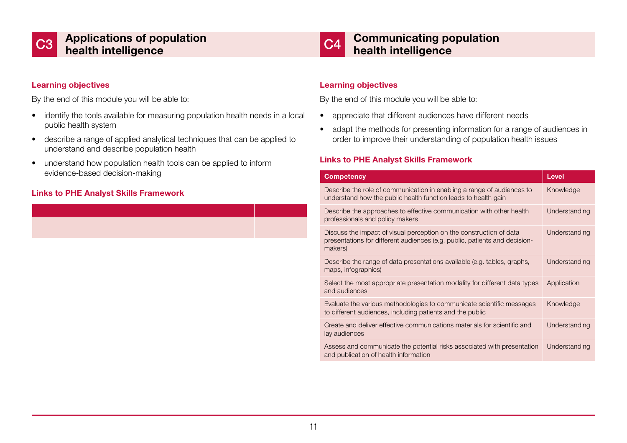<span id="page-12-0"></span>



### C4 Communicating population health intelligence

#### Learning objectives

By the end of this module you will be able to:

- identify the tools available for measuring population health needs in a local public health system
- describe a range of applied analytical techniques that can be applied to understand and describe population health
- understand how population health tools can be applied to inform evidence-based decision-making

#### Links to PHE Analyst Skills Framework

#### Learning objectives

By the end of this module you will be able to:

- appreciate that different audiences have different needs
- adapt the methods for presenting information for a range of audiences in order to improve their understanding of population health issues

| <b>Competency</b>                                                                                                                                            | <b>Level</b>  |
|--------------------------------------------------------------------------------------------------------------------------------------------------------------|---------------|
| Describe the role of communication in enabling a range of audiences to<br>understand how the public health function leads to health gain                     | Knowledge     |
| Describe the approaches to effective communication with other health<br>professionals and policy makers                                                      | Understanding |
| Discuss the impact of visual perception on the construction of data<br>presentations for different audiences (e.g. public, patients and decision-<br>makers) | Understanding |
| Describe the range of data presentations available (e.g. tables, graphs,<br>maps, infographics)                                                              | Understanding |
| Select the most appropriate presentation modality for different data types<br>and audiences                                                                  | Application   |
| Evaluate the various methodologies to communicate scientific messages<br>to different audiences, including patients and the public                           | Knowledge     |
| Create and deliver effective communications materials for scientific and<br>lay audiences                                                                    | Understanding |
| Assess and communicate the potential risks associated with presentation<br>and publication of health information                                             | Understanding |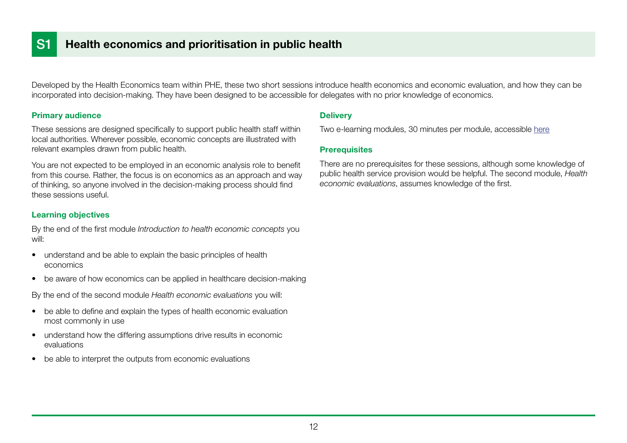<span id="page-13-0"></span>Developed by the Health Economics team within PHE, these two short sessions introduce health economics and economic evaluation, and how they can be incorporated into decision-making. They have been designed to be accessible for delegates with no prior knowledge of economics.

#### Primary audience

These sessions are designed specifically to support public health staff within local authorities. Wherever possible, economic concepts are illustrated with relevant examples drawn from public health.

You are not expected to be employed in an economic analysis role to benefit from this course. Rather, the focus is on economics as an approach and way of thinking, so anyone involved in the decision-making process should find these sessions useful.

#### Learning objectives

By the end of the first module *Introduction to health economic concepts* you will:

- understand and be able to explain the basic principles of health economics
- be aware of how economics can be applied in healthcare decision-making

By the end of the second module *Health economic evaluations* you will:

- be able to define and explain the types of health economic evaluation most commonly in use
- understand how the differing assumptions drive results in economic evaluations
- be able to interpret the outputs from economic evaluations

#### **Delivery**

Two e-learning modules, 30 minutes per module, accessible [here](https://portal.e-lfh.org.uk/Component/Details/482587)

#### **Prerequisites**

There are no prerequisites for these sessions, although some knowledge of public health service provision would be helpful. The second module, *Health economic evaluations*, assumes knowledge of the first.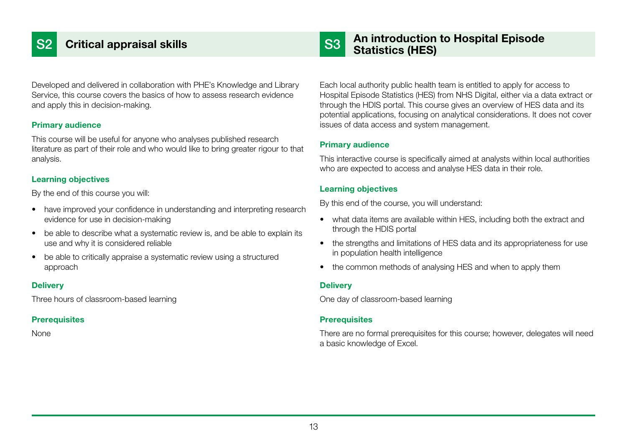## <span id="page-14-0"></span>**Critical appraisal skills**

#### Developed and delivered in collaboration with PHE's Knowledge and Library Service, this course covers the basics of how to assess research evidence and apply this in decision-making.

#### Primary audience

This course will be useful for anyone who analyses published research literature as part of their role and who would like to bring greater rigour to that analysis.

#### Learning objectives

By the end of this course you will:

- have improved your confidence in understanding and interpreting research evidence for use in decision-making
- be able to describe what a systematic review is, and be able to explain its use and why it is considered reliable
- be able to critically appraise a systematic review using a structured approach

#### **Delivery**

Three hours of classroom-based learning

#### **Prerequisites**

None

### An introduction to Hospital Episode S3 Statistics (HES)

Each local authority public health team is entitled to apply for access to Hospital Episode Statistics (HES) from NHS Digital, either via a data extract or through the HDIS portal. This course gives an overview of HES data and its potential applications, focusing on analytical considerations. It does not cover issues of data access and system management.

#### Primary audience

This interactive course is specifically aimed at analysts within local authorities who are expected to access and analyse HES data in their role.

#### Learning objectives

By this end of the course, you will understand:

- what data items are available within HES, including both the extract and through the HDIS portal
- the strengths and limitations of HES data and its appropriateness for use in population health intelligence
- the common methods of analysing HES and when to apply them

#### **Delivery**

One day of classroom-based learning

#### **Prerequisites**

There are no formal prerequisites for this course; however, delegates will need a basic knowledge of Excel.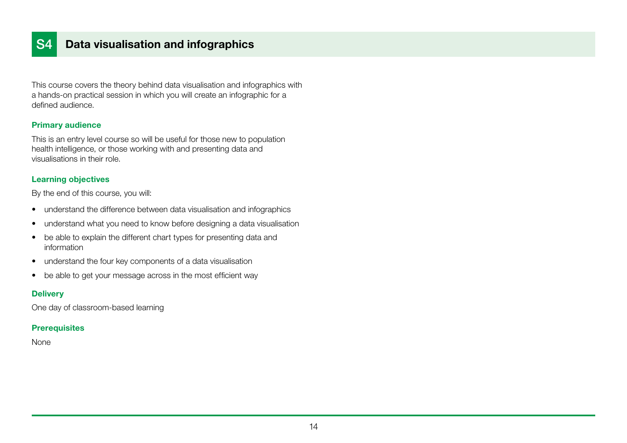### <span id="page-15-0"></span>S4 Data visualisation and infographics

This course covers the theory behind data visualisation and infographics with a hands-on practical session in which you will create an infographic for a defined audience.

#### Primary audience

This is an entry level course so will be useful for those new to population health intelligence, or those working with and presenting data and visualisations in their role.

#### Learning objectives

By the end of this course, you will:

- understand the difference between data visualisation and infographics
- understand what you need to know before designing a data visualisation
- be able to explain the different chart types for presenting data and information
- understand the four key components of a data visualisation
- be able to get your message across in the most efficient way

#### **Delivery**

One day of classroom-based learning

#### **Prerequisites**

None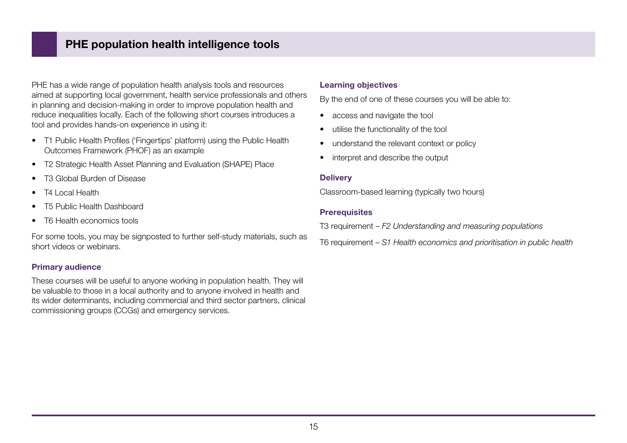### <span id="page-16-0"></span>PHE population health intelligence tools

PHE has a wide range of population health analysis tools and resources aimed at supporting local government, health service professionals and others in planning and decision-making in order to improve population health and reduce inequalities locally. Each of the following short courses introduces a tool and provides hands-on experience in using it:

- T1 Public Health Profiles ('Fingertips' platform) using the Public Health Outcomes Framework (PHOF) as an example
- T2 Strategic Health Asset Planning and Evaluation (SHAPE) Place
- T3 Global Burden of Disease
- T<sub>4</sub> Local Health
- T5 Public Health Dashboard
- T6 Health economics tools

For some tools, you may be signposted to further self-study materials, such as short videos or webinars.

#### Primary audience

These courses will be useful to anyone working in population health. They will be valuable to those in a local authority and to anyone involved in health and its wider determinants, including commercial and third sector partners, clinical commissioning groups (CCGs) and emergency services.

#### Learning objectives

By the end of one of these courses you will be able to:

- access and navigate the tool
- utilise the functionality of the tool
- understand the relevant context or policy
- interpret and describe the output

#### **Delivery**

Classroom-based learning (typically two hours)

#### **Prerequisites**

T3 requirement – *F2 Understanding and measuring populations*

T6 requirement – *S1 Health economics and prioritisation in public health*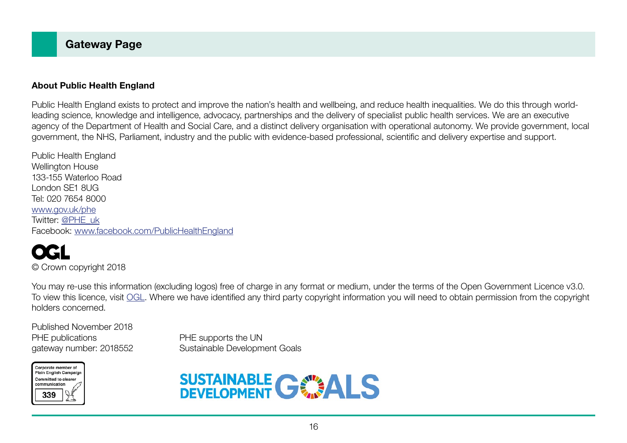#### About Public Health England

Public Health England exists to protect and improve the nation's health and wellbeing, and reduce health inequalities. We do this through worldleading science, knowledge and intelligence, advocacy, partnerships and the delivery of specialist public health services. We are an executive agency of the Department of Health and Social Care, and a distinct delivery organisation with operational autonomy. We provide government, local government, the NHS, Parliament, industry and the public with evidence-based professional, scientific and delivery expertise and support.

Public Health England Wellington House 133-155 Waterloo Road London SE1 8UG Tel: 020 7654 8000 [www.gov.uk/phe](http://www.gov.uk/phe) Twitter: [@PHE\\_uk](https://twitter.com/PHE_uk) Facebook: [www.facebook.com/PublicHealthEngland](http://www.facebook.com/PublicHealthEngland)

GI © Crown copyright 2018

You may re-use this information (excluding logos) free of charge in any format or medium, under the terms of the Open Government Licence v3.0. To view this licence, visit [OGL](https://www.nationalarchives.gov.uk/doc/open-government-licence/version/3/). Where we have identified any third party copyright information you will need to obtain permission from the copyright holders concerned.

Published November 2018 PHE publications **PHE** supports the UN

gateway number: 2018552 Sustainable Development Goals